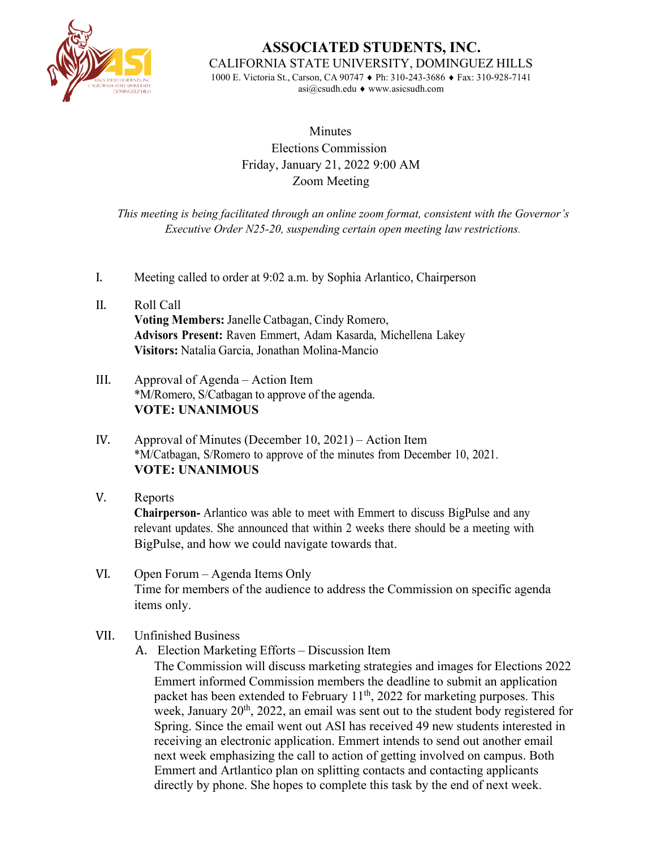

**ASSOCIATED STUDENTS, INC.** CALIFORNIA STATE UNIVERSITY, DOMINGUEZ HILLS

1000 E. Victoria St., Carson, CA 90747 ♦ Ph: 310-243-3686 ♦ Fax: 310-928-7141 [asi@csudh.edu](mailto:asi@csudh.edu) ♦ [www.asicsudh.com](http://www.asicsudh.com/)

## **Minutes** Elections Commission Friday, January 21, 2022 9:00 AM Zoom Meeting

*This meeting is being facilitated through an online zoom format, consistent with the Governor's Executive Order N25-20, suspending certain open meeting law restrictions.*

- I. Meeting called to order at 9:02 a.m. by Sophia Arlantico, Chairperson
- II. Roll Call **Voting Members:** Janelle Catbagan, Cindy Romero, **Advisors Present:** Raven Emmert, Adam Kasarda, Michellena Lakey **Visitors:** Natalia Garcia, Jonathan Molina-Mancio
- III. Approval of Agenda Action Item \*M/Romero, S/Catbagan to approve of the agenda. **VOTE: UNANIMOUS**
- IV. Approval of Minutes (December 10, 2021) Action Item \*M/Catbagan, S/Romero to approve of the minutes from December 10, 2021. **VOTE: UNANIMOUS**
- V. Reports

**Chairperson-** Arlantico was able to meet with Emmert to discuss BigPulse and any relevant updates. She announced that within 2 weeks there should be a meeting with BigPulse, and how we could navigate towards that.

- VI. Open Forum Agenda Items Only Time for members of the audience to address the Commission on specific agenda items only.
- VII. Unfinished Business
	- A. Election Marketing Efforts Discussion Item

The Commission will discuss marketing strategies and images for Elections 2022 Emmert informed Commission members the deadline to submit an application packet has been extended to February  $11<sup>th</sup>$ , 2022 for marketing purposes. This week, January  $20<sup>th</sup>$ , 2022, an email was sent out to the student body registered for Spring. Since the email went out ASI has received 49 new students interested in receiving an electronic application. Emmert intends to send out another email next week emphasizing the call to action of getting involved on campus. Both Emmert and Artlantico plan on splitting contacts and contacting applicants directly by phone. She hopes to complete this task by the end of next week.